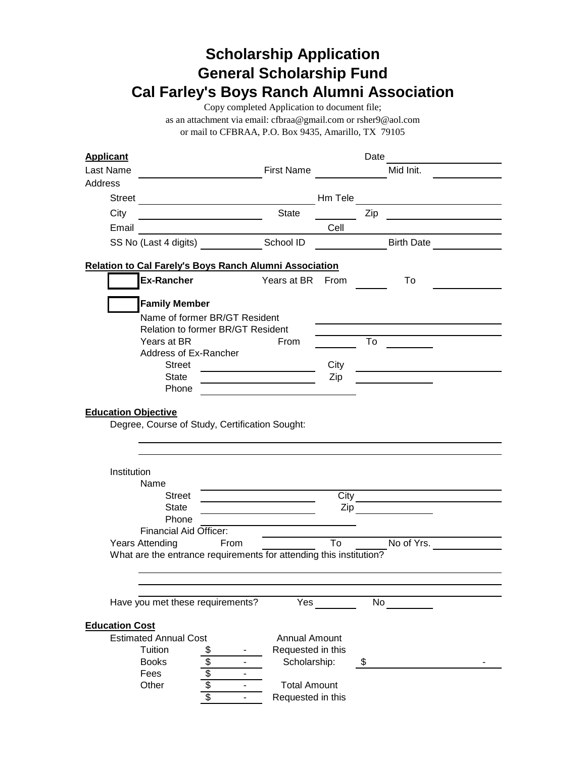# **Scholarship Application General Scholarship Fund Cal Farley's Boys Ranch Alumni Association**

Copy completed Application to document file;

as an attachment via email: cfbraa@gmail.com or rsher9@aol.com or mail to CFBRAA, P.O. Box 9435, Amarillo, TX 79105

| <b>Applicant</b>           |                                                                    |                                          |                                                             |         | Date                   |                                                  |  |
|----------------------------|--------------------------------------------------------------------|------------------------------------------|-------------------------------------------------------------|---------|------------------------|--------------------------------------------------|--|
| Last Name                  |                                                                    |                                          | <b>First Name</b>                                           |         |                        | Mid Init.                                        |  |
| Address                    |                                                                    |                                          |                                                             |         |                        |                                                  |  |
| Street                     |                                                                    |                                          |                                                             | Hm Tele |                        |                                                  |  |
| City                       |                                                                    |                                          | <b>State</b>                                                |         | Zip                    |                                                  |  |
| Email                      |                                                                    |                                          |                                                             | Cell    |                        |                                                  |  |
|                            | SS No (Last 4 digits) School ID                                    |                                          |                                                             |         |                        | <b>Birth Date</b>                                |  |
|                            |                                                                    |                                          |                                                             |         |                        |                                                  |  |
|                            | <b>Relation to Cal Farely's Boys Ranch Alumni Association</b>      |                                          |                                                             |         |                        |                                                  |  |
|                            | Ex-Rancher                                                         |                                          | Years at BR                                                 | From    |                        | To                                               |  |
|                            |                                                                    |                                          |                                                             |         |                        |                                                  |  |
|                            | <b>Family Member</b>                                               |                                          |                                                             |         |                        |                                                  |  |
|                            |                                                                    | Name of former BR/GT Resident            |                                                             |         |                        |                                                  |  |
|                            |                                                                    | <b>Relation to former BR/GT Resident</b> |                                                             |         |                        |                                                  |  |
|                            | Years at BR                                                        |                                          | From                                                        |         | To                     |                                                  |  |
|                            | Address of Ex-Rancher                                              |                                          |                                                             |         |                        |                                                  |  |
|                            | <b>Street</b>                                                      |                                          |                                                             | City    |                        |                                                  |  |
|                            | <b>State</b><br>Phone                                              |                                          |                                                             | Zip     |                        |                                                  |  |
|                            |                                                                    |                                          |                                                             |         |                        |                                                  |  |
| <b>Education Objective</b> |                                                                    |                                          |                                                             |         |                        |                                                  |  |
|                            | Degree, Course of Study, Certification Sought:                     |                                          |                                                             |         |                        |                                                  |  |
|                            |                                                                    |                                          |                                                             |         |                        |                                                  |  |
|                            |                                                                    |                                          |                                                             |         |                        |                                                  |  |
|                            |                                                                    |                                          |                                                             |         |                        |                                                  |  |
| Institution                |                                                                    |                                          |                                                             |         |                        |                                                  |  |
|                            | Name                                                               |                                          |                                                             |         |                        |                                                  |  |
|                            | <b>Street</b>                                                      |                                          | the control of the control of the control of the control of | City    |                        | the control of the control of the control of the |  |
|                            | <b>State</b>                                                       |                                          |                                                             |         |                        | $\mathsf{Zip}$                                   |  |
|                            | Phone                                                              |                                          |                                                             |         |                        |                                                  |  |
|                            | <b>Financial Aid Officer:</b>                                      |                                          |                                                             |         |                        |                                                  |  |
|                            | <b>Years Attending</b>                                             | From                                     |                                                             | To      |                        | No of Yrs.                                       |  |
|                            | What are the entrance requirements for attending this institution? |                                          |                                                             |         |                        |                                                  |  |
|                            |                                                                    |                                          |                                                             |         |                        |                                                  |  |
|                            |                                                                    |                                          |                                                             |         |                        |                                                  |  |
|                            | Have you met these requirements?                                   |                                          | $\overline{Y}$ es                                           |         | $\overline{\text{No}}$ |                                                  |  |
|                            |                                                                    |                                          |                                                             |         |                        |                                                  |  |
| <b>Education Cost</b>      |                                                                    |                                          |                                                             |         |                        |                                                  |  |
|                            | <b>Estimated Annual Cost</b>                                       |                                          | <b>Annual Amount</b>                                        |         |                        |                                                  |  |
|                            | Tuition                                                            | \$                                       | Requested in this                                           |         |                        |                                                  |  |
|                            | <b>Books</b>                                                       | ۰                                        | Scholarship:                                                |         | \$                     |                                                  |  |
|                            | Fees                                                               | ä,                                       |                                                             |         |                        |                                                  |  |
|                            | Other                                                              | \$100                                    | <b>Total Amount</b>                                         |         |                        |                                                  |  |
|                            |                                                                    |                                          | Requested in this                                           |         |                        |                                                  |  |
|                            |                                                                    |                                          |                                                             |         |                        |                                                  |  |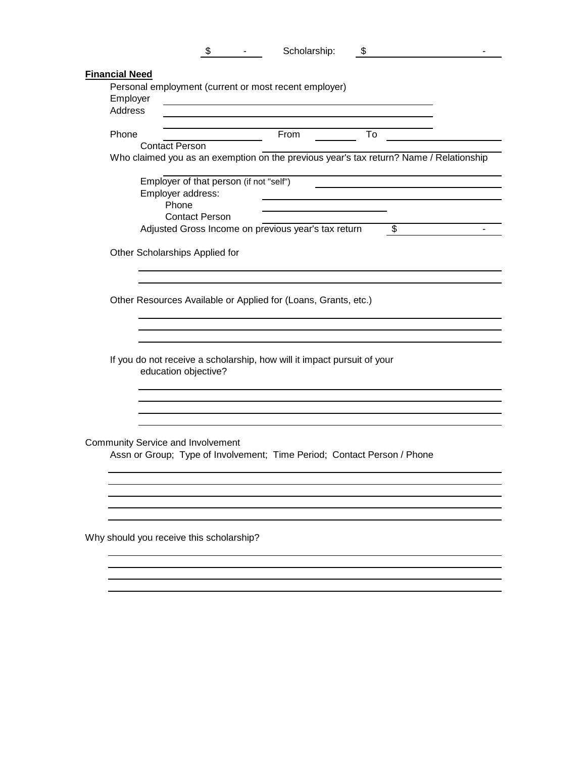|                       | $\sim$ 10 $\pm$ | Scholarship: | S | - |
|-----------------------|-----------------|--------------|---|---|
| <b>Financial Need</b> |                 |              |   |   |

| Phone |                                                                                                                 | From | To |    |
|-------|-----------------------------------------------------------------------------------------------------------------|------|----|----|
|       | <b>Contact Person</b><br>Who claimed you as an exemption on the previous year's tax return? Name / Relationship |      |    |    |
|       |                                                                                                                 |      |    |    |
|       | Employer of that person (if not "self")                                                                         |      |    |    |
|       | Employer address:                                                                                               |      |    |    |
|       | Phone                                                                                                           |      |    |    |
|       | <b>Contact Person</b>                                                                                           |      |    |    |
|       | Adjusted Gross Income on previous year's tax return                                                             |      |    | \$ |
|       | Other Scholarships Applied for                                                                                  |      |    |    |
|       |                                                                                                                 |      |    |    |
|       |                                                                                                                 |      |    |    |
|       | Other Resources Available or Applied for (Loans, Grants, etc.)                                                  |      |    |    |
|       |                                                                                                                 |      |    |    |
|       |                                                                                                                 |      |    |    |
|       |                                                                                                                 |      |    |    |
|       | If you do not receive a scholarship, how will it impact pursuit of your                                         |      |    |    |
|       | education objective?                                                                                            |      |    |    |
|       |                                                                                                                 |      |    |    |
|       |                                                                                                                 |      |    |    |
|       |                                                                                                                 |      |    |    |
|       |                                                                                                                 |      |    |    |
|       | Community Service and Involvement                                                                               |      |    |    |
|       | Assn or Group; Type of Involvement; Time Period; Contact Person / Phone                                         |      |    |    |
|       |                                                                                                                 |      |    |    |
|       |                                                                                                                 |      |    |    |
|       |                                                                                                                 |      |    |    |
|       |                                                                                                                 |      |    |    |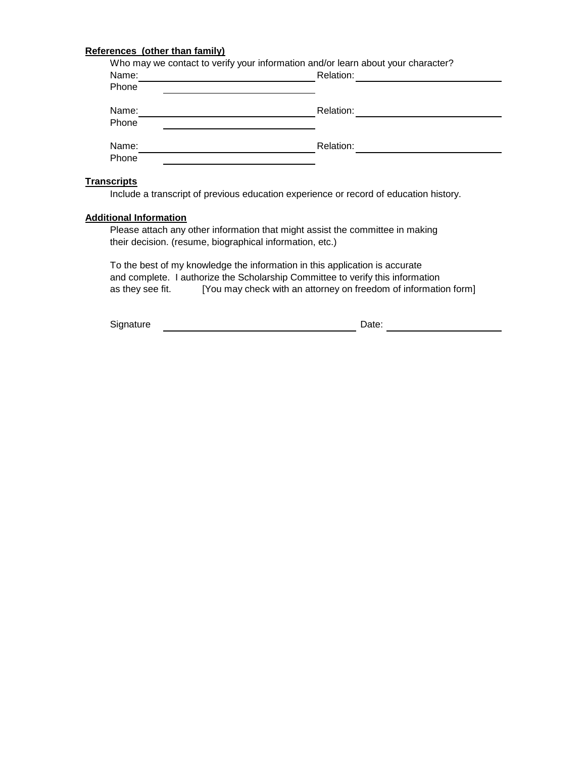### **References (other than family)**

| Name:<br>Phone | Who may we contact to verify your information and/or learn about your character?<br>Relation: |
|----------------|-----------------------------------------------------------------------------------------------|
| Name:<br>Phone | Relation:                                                                                     |
| Name:<br>Phone | Relation:                                                                                     |

#### **Transcripts**

Include a transcript of previous education experience or record of education history.

#### **Additional Information**

Please attach any other information that might assist the committee in making their decision. (resume, biographical information, etc.)

To the best of my knowledge the information in this application is accurate and complete. I authorize the Scholarship Committee to verify this information as they see fit. [You may check with an attorney on freedom of information form]

Signature Date: